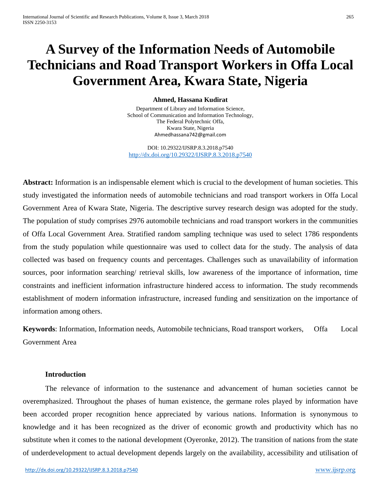# **A Survey of the Information Needs of Automobile Technicians and Road Transport Workers in Offa Local Government Area, Kwara State, Nigeria**

#### **Ahmed, Hassana Kudirat**

Department of Library and Information Science, School of Communication and Information Technology, The Federal Polytechnic Offa, Kwara State, Nigeria [Ahmedhassana742@gmail.com](mailto:Ahmedhassana742@gmail.com)

DOI: 10.29322/IJSRP.8.3.2018.p7540 <http://dx.doi.org/10.29322/IJSRP.8.3.2018.p7540>

**Abstract:** Information is an indispensable element which is crucial to the development of human societies. This study investigated the information needs of automobile technicians and road transport workers in Offa Local Government Area of Kwara State, Nigeria. The descriptive survey research design was adopted for the study. The population of study comprises 2976 automobile technicians and road transport workers in the communities of Offa Local Government Area. Stratified random sampling technique was used to select 1786 respondents from the study population while questionnaire was used to collect data for the study. The analysis of data collected was based on frequency counts and percentages. Challenges such as unavailability of information sources, poor information searching/ retrieval skills, low awareness of the importance of information, time constraints and inefficient information infrastructure hindered access to information. The study recommends establishment of modern information infrastructure, increased funding and sensitization on the importance of information among others.

**Keywords**: Information, Information needs, Automobile technicians, Road transport workers, Offa Local Government Area

## **Introduction**

The relevance of information to the sustenance and advancement of human societies cannot be overemphasized. Throughout the phases of human existence, the germane roles played by information have been accorded proper recognition hence appreciated by various nations. Information is synonymous to knowledge and it has been recognized as the driver of economic growth and productivity which has no substitute when it comes to the national development (Oyeronke, 2012). The transition of nations from the state of underdevelopment to actual development depends largely on the availability, accessibility and utilisation of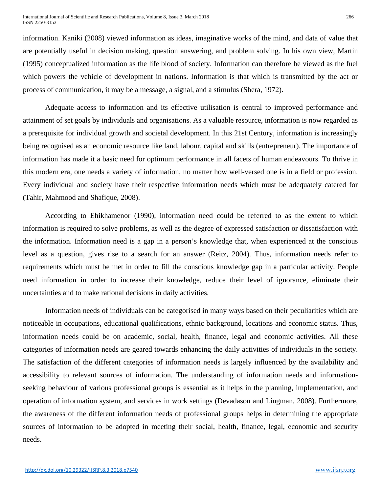information. Kaniki (2008) viewed information as ideas, imaginative works of the mind, and data of value that are potentially useful in decision making, question answering, and problem solving. In his own view, Martin (1995) conceptualized information as the life blood of society. Information can therefore be viewed as the fuel which powers the vehicle of development in nations. Information is that which is transmitted by the act or process of communication, it may be a message, a signal, and a stimulus (Shera, 1972).

Adequate access to information and its effective utilisation is central to improved performance and attainment of set goals by individuals and organisations. As a valuable resource, information is now regarded as a prerequisite for individual growth and societal development. In this 21st Century, information is increasingly being recognised as an economic resource like land, labour, capital and skills (entrepreneur). The importance of information has made it a basic need for optimum performance in all facets of human endeavours. To thrive in this modern era, one needs a variety of information, no matter how well-versed one is in a field or profession. Every individual and society have their respective information needs which must be adequately catered for (Tahir, Mahmood and Shafique, 2008).

According to Ehikhamenor (1990), information need could be referred to as the extent to which information is required to solve problems, as well as the degree of expressed satisfaction or dissatisfaction with the information. Information need is a gap in a person's knowledge that, when experienced at the conscious level as a question, gives rise to a search for an answer (Reitz, 2004). Thus, information needs refer to requirements which must be met in order to fill the conscious knowledge gap in a particular activity. People need information in order to increase their knowledge, reduce their level of ignorance, eliminate their uncertainties and to make rational decisions in daily activities.

Information needs of individuals can be categorised in many ways based on their peculiarities which are noticeable in occupations, educational qualifications, ethnic background, locations and economic status. Thus, information needs could be on academic, social, health, finance, legal and economic activities. All these categories of information needs are geared towards enhancing the daily activities of individuals in the society. The satisfaction of the different categories of information needs is largely influenced by the availability and accessibility to relevant sources of information. The understanding of information needs and informationseeking behaviour of various professional groups is essential as it helps in the planning, implementation, and operation of information system, and services in work settings (Devadason and Lingman, 2008). Furthermore, the awareness of the different information needs of professional groups helps in determining the appropriate sources of information to be adopted in meeting their social, health, finance, legal, economic and security needs.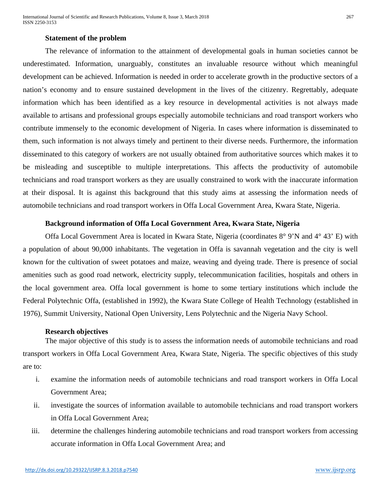#### **Statement of the problem**

The relevance of information to the attainment of developmental goals in human societies cannot be underestimated. Information, unarguably, constitutes an invaluable resource without which meaningful development can be achieved. Information is needed in order to accelerate growth in the productive sectors of a nation's economy and to ensure sustained development in the lives of the citizenry. Regrettably, adequate information which has been identified as a key resource in developmental activities is not always made available to artisans and professional groups especially automobile technicians and road transport workers who contribute immensely to the economic development of Nigeria. In cases where information is disseminated to them, such information is not always timely and pertinent to their diverse needs. Furthermore, the information disseminated to this category of workers are not usually obtained from authoritative sources which makes it to be misleading and susceptible to multiple interpretations. This affects the productivity of automobile technicians and road transport workers as they are usually constrained to work with the inaccurate information at their disposal. It is against this background that this study aims at assessing the information needs of automobile technicians and road transport workers in Offa Local Government Area, Kwara State, Nigeria.

#### **Background information of Offa Local Government Area, Kwara State, Nigeria**

Offa Local Government Area is located in Kwara State, Nigeria (coordinates 8° 9'N and 4° 43' E) with a population of about 90,000 inhabitants. The vegetation in Offa is savannah vegetation and the city is well known for the cultivation of sweet potatoes and maize, weaving and dyeing trade. There is presence of social amenities such as good road network, electricity supply, telecommunication facilities, hospitals and others in the local government area. Offa local government is home to some tertiary institutions which include the Federal Polytechnic Offa, (established in 1992), the Kwara State College of Health Technology (established in 1976), Summit University, National Open University, Lens Polytechnic and the Nigeria Navy School.

#### **Research objectives**

The major objective of this study is to assess the information needs of automobile technicians and road transport workers in Offa Local Government Area, Kwara State, Nigeria. The specific objectives of this study are to:

- i. examine the information needs of automobile technicians and road transport workers in Offa Local Government Area;
- ii. investigate the sources of information available to automobile technicians and road transport workers in Offa Local Government Area;
- iii. determine the challenges hindering automobile technicians and road transport workers from accessing accurate information in Offa Local Government Area; and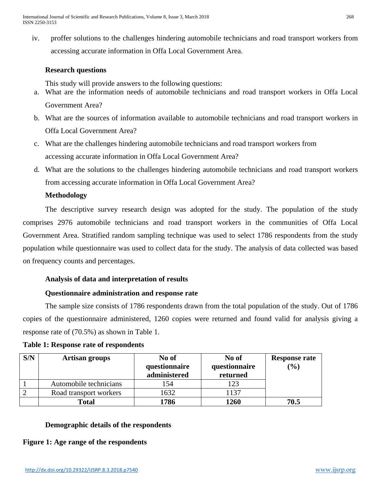iv. proffer solutions to the challenges hindering automobile technicians and road transport workers from accessing accurate information in Offa Local Government Area.

# **Research questions**

This study will provide answers to the following questions:

- a. What are the information needs of automobile technicians and road transport workers in Offa Local Government Area?
- b. What are the sources of information available to automobile technicians and road transport workers in Offa Local Government Area?
- c. What are the challenges hindering automobile technicians and road transport workers from accessing accurate information in Offa Local Government Area?
- d. What are the solutions to the challenges hindering automobile technicians and road transport workers from accessing accurate information in Offa Local Government Area?

# **Methodology**

The descriptive survey research design was adopted for the study. The population of the study comprises 2976 automobile technicians and road transport workers in the communities of Offa Local Government Area. Stratified random sampling technique was used to select 1786 respondents from the study population while questionnaire was used to collect data for the study. The analysis of data collected was based on frequency counts and percentages.

# **Analysis of data and interpretation of results**

# **Questionnaire administration and response rate**

The sample size consists of 1786 respondents drawn from the total population of the study. Out of 1786 copies of the questionnaire administered, 1260 copies were returned and found valid for analysis giving a response rate of (70.5%) as shown in Table 1.

| S/N | <b>Artisan groups</b>  | No of<br>questionnaire<br>administered | No of<br>questionnaire<br>returned | <b>Response rate</b><br>(9/0) |
|-----|------------------------|----------------------------------------|------------------------------------|-------------------------------|
|     | Automobile technicians | 154                                    | 123                                |                               |
|     | Road transport workers | 1632                                   | 1137                               |                               |
|     | <b>Total</b>           | 1786                                   | 1260                               | 70.5                          |

# **Table 1: Response rate of respondents**

# **Demographic details of the respondents**

**Figure 1: Age range of the respondents**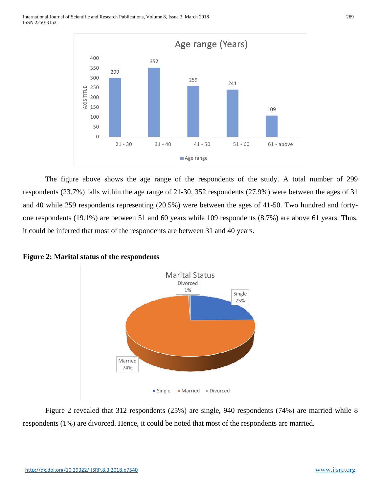

The figure above shows the age range of the respondents of the study. A total number of 299 respondents (23.7%) falls within the age range of 21-30, 352 respondents (27.9%) were between the ages of 31 and 40 while 259 respondents representing (20.5%) were between the ages of 41-50. Two hundred and fortyone respondents (19.1%) are between 51 and 60 years while 109 respondents (8.7%) are above 61 years. Thus, it could be inferred that most of the respondents are between 31 and 40 years.



**Figure 2: Marital status of the respondents** 

Figure 2 revealed that 312 respondents (25%) are single, 940 respondents (74%) are married while 8 respondents (1%) are divorced. Hence, it could be noted that most of the respondents are married.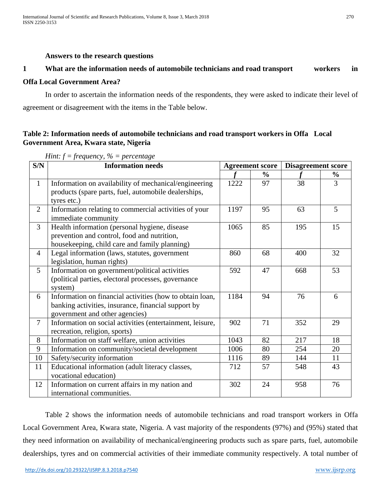#### **Answers to the research questions**

## **1 What are the information needs of automobile technicians and road transport workers in**

## **Offa Local Government Area?**

In order to ascertain the information needs of the respondents, they were asked to indicate their level of agreement or disagreement with the items in the Table below.

# **Table 2: Information needs of automobile technicians and road transport workers in Offa Local Government Area, Kwara state, Nigeria**

| S/N            | <b>Information needs</b>                                  | <b>Agreement score</b> |               | <b>Disagreement score</b> |                |
|----------------|-----------------------------------------------------------|------------------------|---------------|---------------------------|----------------|
|                |                                                           |                        | $\frac{6}{6}$ |                           | $\frac{6}{9}$  |
| $\mathbf{1}$   | Information on availability of mechanical/engineering     | 1222                   | 97            | 38                        | 3              |
|                | products (spare parts, fuel, automobile dealerships,      |                        |               |                           |                |
|                | tyres etc.)                                               |                        |               |                           |                |
| $\overline{2}$ | Information relating to commercial activities of your     | 1197                   | 95            | 63                        | 5 <sup>5</sup> |
|                | immediate community                                       |                        |               |                           |                |
| $\overline{3}$ | Health information (personal hygiene, disease             | 1065                   | 85            | 195                       | 15             |
|                | prevention and control, food and nutrition,               |                        |               |                           |                |
|                | housekeeping, child care and family planning)             |                        |               |                           |                |
| $\overline{4}$ | Legal information (laws, statutes, government             | 860                    | 68            | 400                       | 32             |
|                | legislation, human rights)                                |                        |               |                           |                |
| 5 <sup>5</sup> | Information on government/political activities            | 592                    | 47            | 668                       | 53             |
|                | (political parties, electoral processes, governance       |                        |               |                           |                |
|                | system)                                                   |                        |               |                           |                |
| 6              | Information on financial activities (how to obtain loan,  | 1184                   | 94            | 76                        | 6              |
|                | banking activities, insurance, financial support by       |                        |               |                           |                |
|                | government and other agencies)                            |                        |               |                           |                |
| $\overline{7}$ | Information on social activities (entertainment, leisure, | 902                    | 71            | 352                       | 29             |
|                | recreation, religion, sports)                             |                        |               |                           |                |
| 8              | Information on staff welfare, union activities            | 1043                   | 82            | 217                       | 18             |
| 9              | Information on community/societal development             | 1006                   | 80            | 254                       | 20             |
| 10             | Safety/security information                               | 1116                   | 89            | 144                       | 11             |
| 11             | Educational information (adult literacy classes,          | 712                    | 57            | 548                       | 43             |
|                | vocational education)                                     |                        |               |                           |                |
| 12             | Information on current affairs in my nation and           | 302                    | 24            | 958                       | 76             |
|                | international communities.                                |                        |               |                           |                |

*Hint: f = frequency, % = percentage*

Table 2 shows the information needs of automobile technicians and road transport workers in Offa Local Government Area, Kwara state, Nigeria. A vast majority of the respondents (97%) and (95%) stated that they need information on availability of mechanical/engineering products such as spare parts, fuel, automobile dealerships, tyres and on commercial activities of their immediate community respectively. A total number of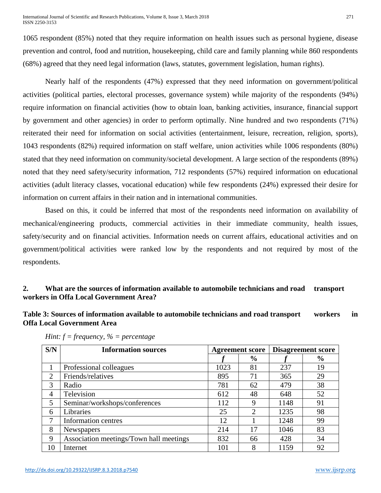International Journal of Scientific and Research Publications, Volume 8, Issue 3, March 2018 271 ISSN 2250-3153

1065 respondent (85%) noted that they require information on health issues such as personal hygiene, disease prevention and control, food and nutrition, housekeeping, child care and family planning while 860 respondents (68%) agreed that they need legal information (laws, statutes, government legislation, human rights).

Nearly half of the respondents (47%) expressed that they need information on government/political activities (political parties, electoral processes, governance system) while majority of the respondents (94%) require information on financial activities (how to obtain loan, banking activities, insurance, financial support by government and other agencies) in order to perform optimally. Nine hundred and two respondents (71%) reiterated their need for information on social activities (entertainment, leisure, recreation, religion, sports), 1043 respondents (82%) required information on staff welfare, union activities while 1006 respondents (80%) stated that they need information on community/societal development. A large section of the respondents (89%) noted that they need safety/security information, 712 respondents (57%) required information on educational activities (adult literacy classes, vocational education) while few respondents (24%) expressed their desire for information on current affairs in their nation and in international communities.

Based on this, it could be inferred that most of the respondents need information on availability of mechanical/engineering products, commercial activities in their immediate community, health issues, safety/security and on financial activities. Information needs on current affairs, educational activities and on government/political activities were ranked low by the respondents and not required by most of the respondents.

# **2. What are the sources of information available to automobile technicians and road transport workers in Offa Local Government Area?**

# **Table 3: Sources of information available to automobile technicians and road transport workers in Offa Local Government Area**

| S/N            | <b>Information sources</b>              | <b>Agreement score</b> |               | <b>Disagreement score</b> |               |
|----------------|-----------------------------------------|------------------------|---------------|---------------------------|---------------|
|                |                                         |                        | $\frac{0}{0}$ |                           | $\frac{6}{9}$ |
|                | Professional colleagues                 | 1023                   | 81            | 237                       | 19            |
| 2              | Friends/relatives                       | 895                    | 71            | 365                       | 29            |
| 3              | Radio                                   | 781                    | 62            | 479                       | 38            |
| $\overline{4}$ | Television                              | 612                    | 48            | 648                       | 52            |
| 5              | Seminar/workshops/conferences           | 112                    | 9             | 1148                      | 91            |
| 6              | Libraries                               | 25                     | 2             | 1235                      | 98            |
| 7              | Information centres                     | 12                     |               | 1248                      | 99            |
| 8              | <b>Newspapers</b>                       | 214                    | 17            | 1046                      | 83            |
| 9              | Association meetings/Town hall meetings | 832                    | 66            | 428                       | 34            |
| 10             | Internet                                | 101                    | 8             | 1159                      | 92            |

*Hint: f = frequency, % = percentage*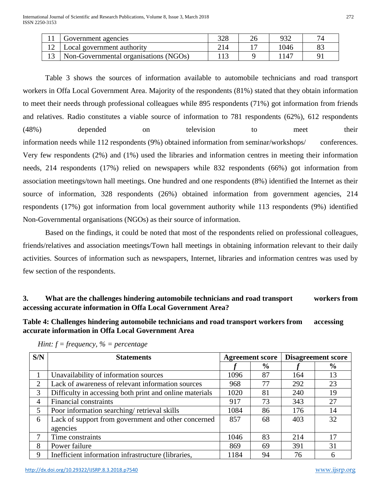| Government agencies                   | າາເ |                 |  |
|---------------------------------------|-----|-----------------|--|
| Local government authority            |     | 1046            |  |
| Non-Governmental organisations (NGOs) |     | 14 <sup>7</sup> |  |

Table 3 shows the sources of information available to automobile technicians and road transport workers in Offa Local Government Area. Majority of the respondents (81%) stated that they obtain information to meet their needs through professional colleagues while 895 respondents (71%) got information from friends and relatives. Radio constitutes a viable source of information to 781 respondents (62%), 612 respondents (48%) depended on television to meet their information needs while 112 respondents (9%) obtained information from seminar/workshops/ conferences. Very few respondents (2%) and (1%) used the libraries and information centres in meeting their information needs, 214 respondents (17%) relied on newspapers while 832 respondents (66%) got information from association meetings/town hall meetings. One hundred and one respondents (8%) identified the Internet as their source of information, 328 respondents (26%) obtained information from government agencies, 214 respondents (17%) got information from local government authority while 113 respondents (9%) identified Non-Governmental organisations (NGOs) as their source of information.

Based on the findings, it could be noted that most of the respondents relied on professional colleagues, friends/relatives and association meetings/Town hall meetings in obtaining information relevant to their daily activities. Sources of information such as newspapers, Internet, libraries and information centres was used by few section of the respondents.

# **3. What are the challenges hindering automobile technicians and road transport workers from accessing accurate information in Offa Local Government Area?**

**Table 4: Challenges hindering automobile technicians and road transport workers from accessing accurate information in Offa Local Government Area**

| S/N | <b>Statements</b>                                       | <b>Agreement score</b> |               | <b>Disagreement score</b> |               |
|-----|---------------------------------------------------------|------------------------|---------------|---------------------------|---------------|
|     |                                                         |                        | $\frac{6}{6}$ |                           | $\frac{6}{9}$ |
|     | Unavailability of information sources                   | 1096                   | 87            | 164                       | 13            |
| 2   | Lack of awareness of relevant information sources       | 968                    | 77            | 292                       | 23            |
| 3   | Difficulty in accessing both print and online materials | 1020                   | 81            | 240                       | 19            |
| 4   | Financial constraints                                   | 917                    | 73            | 343                       | 27            |
| 5   | Poor information searching/retrieval skills             | 1084                   | 86            | 176                       | 14            |
| 6   | Lack of support from government and other concerned     | 857                    | 68            | 403                       | 32            |
|     | agencies                                                |                        |               |                           |               |
| 7   | Time constraints                                        | 1046                   | 83            | 214                       | 17            |
| 8   | Power failure                                           | 869                    | 69            | 391                       | 31            |
| 9   | Inefficient information infrastructure (libraries,      | 1184                   | 94            | 76                        | 6             |

*Hint: f = frequency, % = percentage*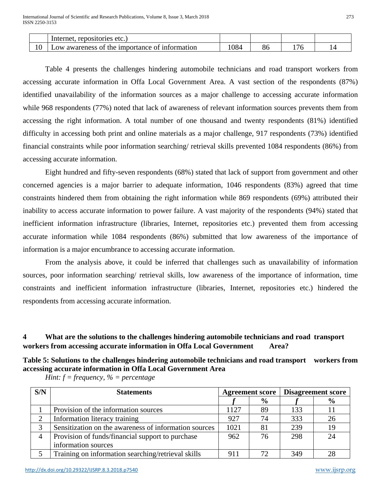|                      | repositories<br>etc.<br>Internet                                            |     |           |  |
|----------------------|-----------------------------------------------------------------------------|-----|-----------|--|
| 1 <sub>0</sub><br>ΙU | <i>importance</i><br>of information<br>awareness<br>0t<br>$\alpha w$<br>the | 084 | ∩.<br>-oc |  |

Table 4 presents the challenges hindering automobile technicians and road transport workers from accessing accurate information in Offa Local Government Area. A vast section of the respondents (87%) identified unavailability of the information sources as a major challenge to accessing accurate information while 968 respondents (77%) noted that lack of awareness of relevant information sources prevents them from accessing the right information. A total number of one thousand and twenty respondents (81%) identified difficulty in accessing both print and online materials as a major challenge, 917 respondents (73%) identified financial constraints while poor information searching/ retrieval skills prevented 1084 respondents (86%) from accessing accurate information.

Eight hundred and fifty-seven respondents (68%) stated that lack of support from government and other concerned agencies is a major barrier to adequate information, 1046 respondents (83%) agreed that time constraints hindered them from obtaining the right information while 869 respondents (69%) attributed their inability to access accurate information to power failure. A vast majority of the respondents (94%) stated that inefficient information infrastructure (libraries, Internet, repositories etc.) prevented them from accessing accurate information while 1084 respondents (86%) submitted that low awareness of the importance of information is a major encumbrance to accessing accurate information.

From the analysis above, it could be inferred that challenges such as unavailability of information sources, poor information searching/ retrieval skills, low awareness of the importance of information, time constraints and inefficient information infrastructure (libraries, Internet, repositories etc.) hindered the respondents from accessing accurate information.

# **4 What are the solutions to the challenges hindering automobile technicians and road transport workers from accessing accurate information in Offa Local Government Area?**

# **Table 5: Solutions to the challenges hindering automobile technicians and road transport workers from accessing accurate information in Offa Local Government Area**

| S/N | <b>Statements</b>                                     | <b>Agreement score</b> |               | <b>Disagreement score</b> |               |
|-----|-------------------------------------------------------|------------------------|---------------|---------------------------|---------------|
|     |                                                       |                        | $\frac{6}{9}$ |                           | $\frac{6}{9}$ |
|     | Provision of the information sources                  | 1127                   | 89            | 133                       | 11            |
| ◠   | Information literacy training                         | 927                    | 74            | 333                       | 26            |
|     | Sensitization on the awareness of information sources | 1021                   | 81            | 239                       | 19            |
| 4   | Provision of funds/financial support to purchase      | 962                    | 76            | 298                       | 24            |
|     | information sources                                   |                        |               |                           |               |
|     | Training on information searching/retrieval skills    | 911                    | 72            | 349                       | 28            |

*Hint: f = frequency, % = percentage*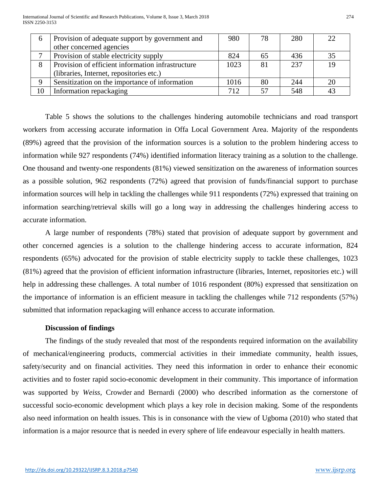| $\sigma$ | Provision of adequate support by government and   | 980  | 78 | 280 | 22 |
|----------|---------------------------------------------------|------|----|-----|----|
|          | other concerned agencies                          |      |    |     |    |
|          | Provision of stable electricity supply            | 824  | 65 | 436 | 35 |
| 8        | Provision of efficient information infrastructure | 1023 | 81 | 237 | 19 |
|          | (libraries, Internet, repositories etc.)          |      |    |     |    |
| 9        | Sensitization on the importance of information    | 1016 | 80 | 244 | 20 |
| 10       | Information repackaging                           | 712  | 57 | 548 | 43 |

Table 5 shows the solutions to the challenges hindering automobile technicians and road transport workers from accessing accurate information in Offa Local Government Area. Majority of the respondents (89%) agreed that the provision of the information sources is a solution to the problem hindering access to information while 927 respondents (74%) identified information literacy training as a solution to the challenge. One thousand and twenty-one respondents (81%) viewed sensitization on the awareness of information sources as a possible solution, 962 respondents (72%) agreed that provision of funds/financial support to purchase information sources will help in tackling the challenges while 911 respondents (72%) expressed that training on information searching/retrieval skills will go a long way in addressing the challenges hindering access to accurate information.

A large number of respondents (78%) stated that provision of adequate support by government and other concerned agencies is a solution to the challenge hindering access to accurate information, 824 respondents (65%) advocated for the provision of stable electricity supply to tackle these challenges, 1023 (81%) agreed that the provision of efficient information infrastructure (libraries, Internet, repositories etc.) will help in addressing these challenges. A total number of 1016 respondent (80%) expressed that sensitization on the importance of information is an efficient measure in tackling the challenges while 712 respondents (57%) submitted that information repackaging will enhance access to accurate information.

## **Discussion of findings**

The findings of the study revealed that most of the respondents required information on the availability of mechanical/engineering products, commercial activities in their immediate community, health issues, safety/security and on financial activities. They need this information in order to enhance their economic activities and to foster rapid socio-economic development in their community. This importance of information was supported by *Weiss,* Crowder and Bernardi (2000) who described information as the cornerstone of successful socio-economic development which plays a key role in decision making. Some of the respondents also need information on health issues. This is in consonance with the view of Ugboma (2010) who stated that information is a major resource that is needed in every sphere of life endeavour especially in health matters.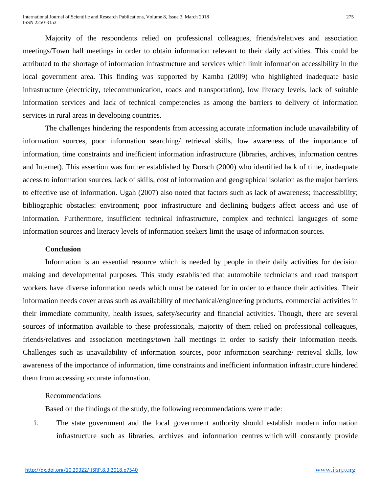Majority of the respondents relied on professional colleagues, friends/relatives and association meetings/Town hall meetings in order to obtain information relevant to their daily activities. This could be attributed to the shortage of information infrastructure and services which limit information accessibility in the local government area. This finding was supported by Kamba (2009) who highlighted inadequate basic infrastructure (electricity, telecommunication, roads and transportation), low literacy levels, lack of suitable information services and lack of technical competencies as among the barriers to delivery of information services in rural areas in developing countries.

The challenges hindering the respondents from accessing accurate information include unavailability of information sources, poor information searching/ retrieval skills, low awareness of the importance of information, time constraints and inefficient information infrastructure (libraries, archives, information centres and Internet). This assertion was further established by Dorsch (2000) who identified lack of time, inadequate access to information sources, lack of skills, cost of information and geographical isolation as the major barriers to effective use of information. Ugah (2007) also noted that factors such as lack of awareness; inaccessibility; bibliographic obstacles: environment; poor infrastructure and declining budgets affect access and use of information*.* Furthermore, insufficient technical infrastructure, complex and technical languages of some information sources and literacy levels of information seekers limit the usage of information sources.

#### **Conclusion**

Information is an essential resource which is needed by people in their daily activities for decision making and developmental purposes. This study established that automobile technicians and road transport workers have diverse information needs which must be catered for in order to enhance their activities. Their information needs cover areas such as availability of mechanical/engineering products, commercial activities in their immediate community, health issues, safety/security and financial activities. Though, there are several sources of information available to these professionals, majority of them relied on professional colleagues, friends/relatives and association meetings/town hall meetings in order to satisfy their information needs. Challenges such as unavailability of information sources, poor information searching/ retrieval skills, low awareness of the importance of information, time constraints and inefficient information infrastructure hindered them from accessing accurate information.

## Recommendations

Based on the findings of the study, the following recommendations were made:

i. The state government and the local government authority should establish modern information infrastructure such as libraries, archives and information centres which will constantly provide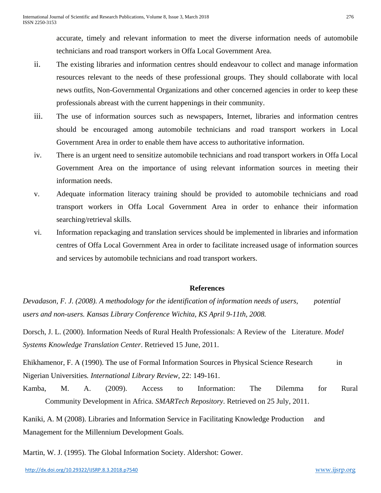accurate, timely and relevant information to meet the diverse information needs of automobile technicians and road transport workers in Offa Local Government Area.

- ii. The existing libraries and information centres should endeavour to collect and manage information resources relevant to the needs of these professional groups. They should collaborate with local news outfits, Non-Governmental Organizations and other concerned agencies in order to keep these professionals abreast with the current happenings in their community.
- iii. The use of information sources such as newspapers, Internet, libraries and information centres should be encouraged among automobile technicians and road transport workers in Local Government Area in order to enable them have access to authoritative information.
- iv. There is an urgent need to sensitize automobile technicians and road transport workers in Offa Local Government Area on the importance of using relevant information sources in meeting their information needs.
- v. Adequate information literacy training should be provided to automobile technicians and road transport workers in Offa Local Government Area in order to enhance their information searching/retrieval skills.
- vi. Information repackaging and translation services should be implemented in libraries and information centres of Offa Local Government Area in order to facilitate increased usage of information sources and services by automobile technicians and road transport workers.

## **References**

*Devadason, F. J. (2008). A methodology for the identification of information needs of users, potential users and non-users. Kansas Library Conference Wichita, KS April 9-11th, 2008.*

Dorsch, J. L. (2000). Information Needs of Rural Health Professionals: A Review of the Literature. *Model Systems Knowledge Translation Center*. Retrieved 15 June, 2011.

Ehikhamenor, F. A (1990). The use of Formal Information Sources in Physical Science Research in Nigerian Universities*. International Library Review*, 22: 149-161.

Kamba, M. A. (2009). Access to Information: The Dilemma for Rural Community Development in Africa. *SMARTech Repository*. Retrieved on 25 July, 2011.

Kaniki, A. M (2008). Libraries and Information Service in Facilitating Knowledge Production and Management for the Millennium Development Goals.

Martin, W. J. (1995). The Global Information Society. Aldershot: Gower.